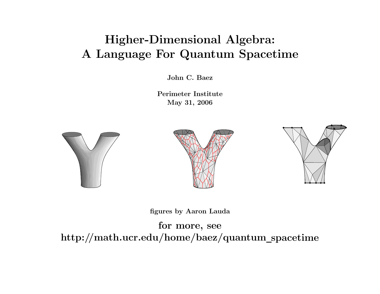# Higher-Dimensional Algebra: A Language For Quantum Spacetime

John C. Baez

Perimeter InstituteMay 31, 2006







figures by Aaron Lauda

for more, see http://math.ucr.edu/home/baez/quantum\_spacetime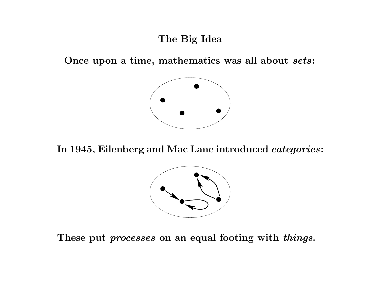## The Big Idea

Once upon a time, mathematics was all about  $sets\colon$ 



In 1945, Eilenberg and Mac Lane introduced  $\it categories$  :



These put *processes* on an equal footing with *things*.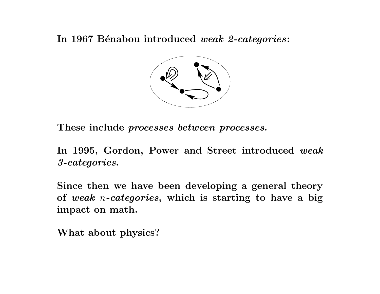In 1967 Bénabou introduced  $\emph{weak}$  2-categories:



These include  $processes$  between processes.

In 1995, Gordon, Power and Street introduced  $\boldsymbol{weak}$ 3-categories.

Since then we have been developing <sup>a</sup> general theory of  $weak$  n-categories, which is starting to have a big impact on math.

What about physics?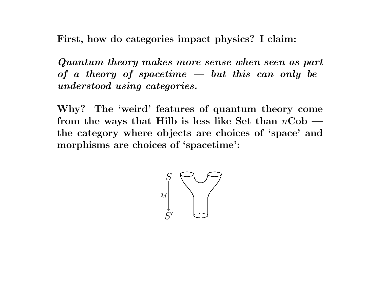First, how do categories impact physics? I claim:

Quantum theory makes more sense when seen as part of a theory of spacetime  $\frac{1}{x}$  but this can only be  $understood\ using\ categories.$ 

Why? The 'weird' features of quantum theory come from the ways that Hilb is less like Set than  $n\mathbf{Cob}$  the category where objects are choices of 'space' and morphisms are choices of 'spacetime':

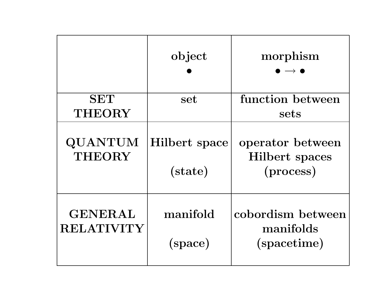|                                     | object                          | morphism                                        |
|-------------------------------------|---------------------------------|-------------------------------------------------|
| <b>SET</b>                          | set                             | function between                                |
| <b>THEORY</b>                       |                                 | sets                                            |
| QUANTUM<br><b>THEORY</b>            | <b>Hilbert</b> space<br>(state) | operator between<br>Hilbert spaces<br>(process) |
| <b>GENERAL</b><br><b>RELATIVITY</b> | manifold<br>(space)             | cobordism between<br>manifolds<br>(spacetime)   |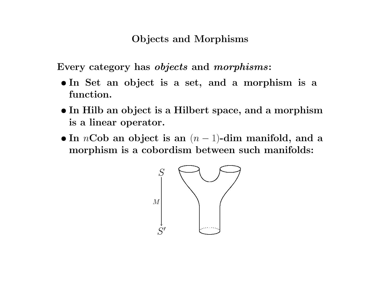#### Objects and Morphisms

Every category has objects and morphisms:

- In Set an object is <sup>a</sup> set, and <sup>a</sup> morphism is <sup>a</sup> function.
- In Hilb an object is <sup>a</sup> Hilbert space, and <sup>a</sup> morphism is a linear operator.
- In  $n\mathbf{Cob}$  an object is an  $(n-1)$ -dim manifold, and a morphism is <sup>a</sup> cobordism between such manifolds:

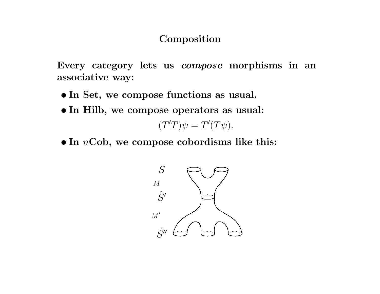#### Composition

Every category lets us compose morphisms in an associative way:

- In Set, we compose functions as usual.
- In Hilb, we compose operators as usual:

 $(T'T)\psi = T'(T\psi).$ 

 $\bullet$  In  $n\text{Cob}$ , we compose cobordisms like this:

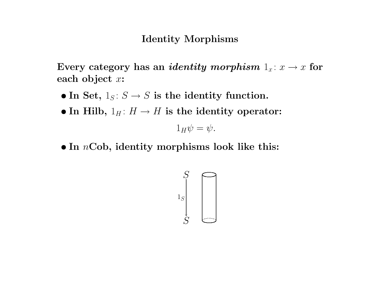#### Identity Morphisms

Every category has an *identity morphism*  $1_x : x \rightarrow x$  for each object  $x$ :

- In Set,  $1_S: S \to S$  is the identity function.
- In Hilb,  $1_H: H \to H$  is the identity operator:

 $1_H\psi = \psi.$ 

 $\bullet$  In  $n\mathrm{Cob},$  identity morphisms look like this:

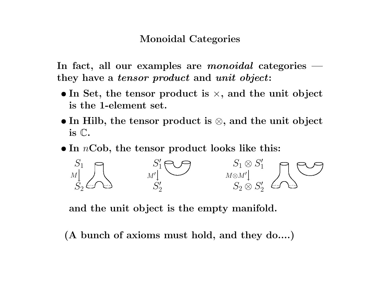### Monoidal Categories

In fact, all our examples are  ${\it monoidal}$  categories they have a *tensor product* and *unit object*:

- In Set, the tensor product is  $\times$ , and the unit object is the 1-element set.
- In Hilb, the tensor product is ⊗, and the unit object is C.
- $\bullet$  In  $n\mathrm{Cob},$  the tensor product looks like this:



and the unit object is the empty manifold.

(A bunch of axioms must hold, and they do....)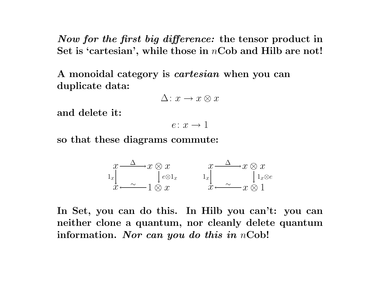Now for the first big difference: the tensor product in Set is 'cartesian', while those in  $n\mathbf{Cob}$  and Hilb are not!

A monoidal category is *cartesian* when you can duplicate data:

$$
\Delta\colon x\to x\otimes x
$$

and delete it:

$$
e\colon x\to 1
$$

so that these diagrams commute:

$$
\begin{array}{ccc}\nx & \Delta & x \otimes x \\
1_x & e^{\otimes 1_x} & 1_x \\
x & \Delta & \lambda x\n\end{array}
$$

In Set, you can do this. In Hilb you can't: you can neither clone a quantum, nor cleanly delete quantum information. *Nor can you do this in*  $n\mathrm{Cob}!$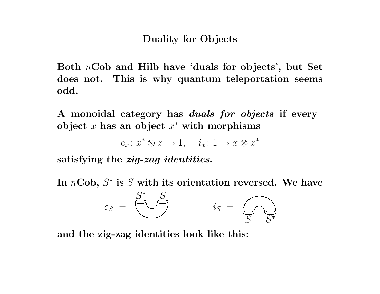#### Duality for Objects

Both  $n\mathbf{Cob}$  and Hilb have 'duals for objects', but Set does not. This is why quantum teleportation seems odd.

A monoidal category has *duals for objects* if every object x has an object  $x^*$  with morphisms

 $e_x\colon x^\ast\otimes x\to 1,\quad \, i_x\colon 1\to x\otimes x^\ast$ 

satisfying the *zig-zag identities*.

In  $n\mathbf{Cob},\, S^*$  is  $S$  with its orientation reversed. We have

$$
e_S = \bigotimes^{S^*} \mathcal{S} \qquad \qquad i_S = \bigodot_{S} \bigotimes^{S^*}
$$

and the zig-zag identities look like this: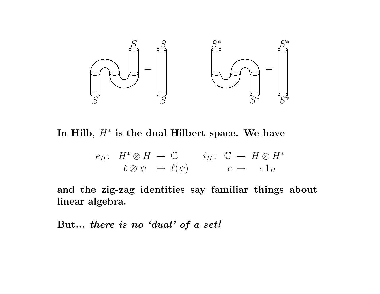

In Hilb,  $H^*$  is the dual Hilbert space. We have

$$
e_H: H^* \otimes H \to \mathbb{C} \qquad i_H: \mathbb{C} \to H \otimes H^* \ell \otimes \psi \mapsto \ell(\psi) \qquad c \mapsto c \mathbb{1}_H
$$

and the zig-zag identities say familiar things about linear algebra.

 $\quad {\rm But...}\ \ there\ \ is\ \ no\ \ 'dual'\ \ of\ a\ \ set?$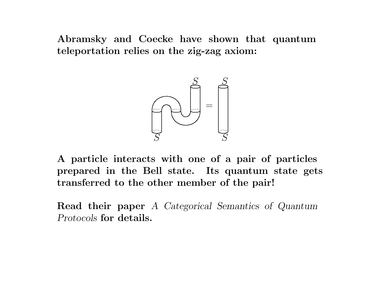Abramsky and Coecke have shown that quantum teleportation relies on the zig-zag axiom:



A particle interacts with one of <sup>a</sup> pair of particles prepared in the Bell state. Its quantum state gets transferred to the other member of the pair!

**Read their paper** A Categorical Semantics of Quantum  $Protocols$  for details.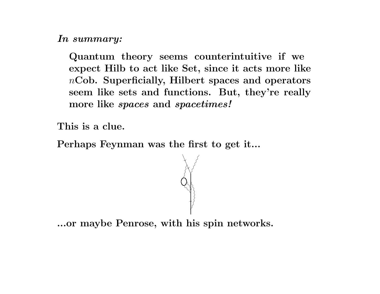$\boldsymbol{In}\,\, summary:$ 

Quantum theory seems counterintuitive if we expect Hilb to act like Set, since it acts more like  $n\mathbf{Cob.}$  Superficially, Hilbert spaces and operators seem like sets and functions. But, they're really more like *spaces* and *spacetimes!* 

This is <sup>a</sup> clue.

Perhaps Feynman was the first to get it...



...or maybe Penrose, with his spin networks.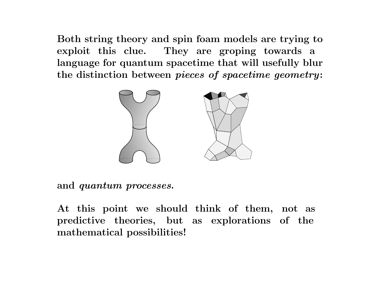Both string theory and spin foam models are trying to exploit this clue. They are groping towards <sup>a</sup> language for quantum spacetime that will usefully blur the distinction between  $\it pieces$  of  $spacetime$   $geometry$ :



and  $\it quantum~processes.$ 

At this point we should think of them, not as predictive theories, but as explorations of the mathematical possibilities!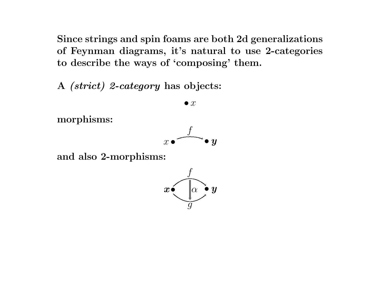Since strings and spin foams are both 2d generalizations of Feynman diagrams, it's natural to use 2-categories to describe the ways of 'composing' them.

 $\bm{A}$  *(strict) 2-category* has objects:

 $\bullet$   $x$ 

morphisms:



and also 2-morphisms:

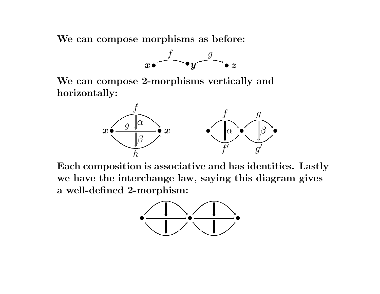We can compose morphisms as before:



We can compose 2-morphisms vertically and horizontally:



Each composition is associative and has identities. Lastly we have the interchange law, saying this diagram gives a well-defined 2-morphism:

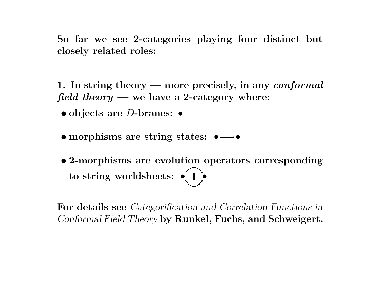So far we see 2-categories playing four distinct but closely related roles:

1. In string theory — more precisely, in any  $\emph{conformal}$ field theory — we have a 2-category where:

 $\bullet$  objects are D-branes:  $\bullet$ 

• morphisms are string states:  $\bullet \longrightarrow \bullet$ 

• 2-morphisms are evolution operators corresponding to string worldsheets:  $\bullet\leftarrow\mathbb{I}$   $\bullet\hspace{-2.5pt}\bullet\hspace{-2.5pt}$ 

For details see *Categorification and Correlation Functions in*  $\emph{Conformal Field Theory}$  by  $\emph{Runkel, Fuchs, and Schweigert.}$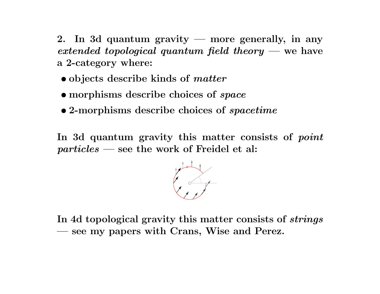2. In 3d quantum gravity — more generally, in any  $extended\,\, topological\,\,quantum\,\,field\,\,theory\,\,—\,\rm we\,\,have$ a 2-category where:

- objects describe kinds of *matter*
- morphisms describe choices of *space*
- 2-morphisms describe choices of *spacetime*

In 3d quantum gravity this matter consists of  $point$ particles — see the work of Freidel et al:

In 4d topological gravity this matter consists of  $strings$ see my papers with Crans, Wise and Perez.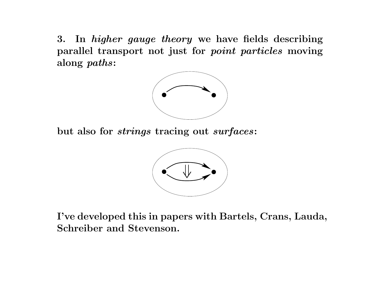3.. In *higher gauge theory* we have fields describing parallel transport not just for point particles moving along paths:



but also for  $strings$  tracing out  $surfaces\colon$ 



I've developed this in papers with Bartels, Crans, Lauda, Schreiber and Stevenson.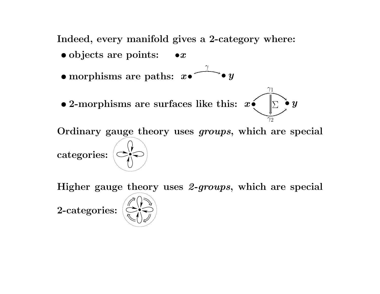Indeed, every manifold gives <sup>a</sup> 2-category where:

- objects are points: • $x$
- $\bullet$  morphisms are paths:  $x \bullet$ γ  $^\star\bullet$   $y$
- 2-morphisms are surfaces like this:  $x \in \mathbb{R}^3$

Ordinary gauge theory uses groups, which are special

 $\gamma_1$ 

 $\gamma_2$ 

ν

 $\boldsymbol{\Sigma}$  •  $\boldsymbol{y}$ 

 $\text{categories: } |\textcolor{red}{\bigcirc}$ 

Higher gauge theory uses 2-groups, which are special

2-categories:

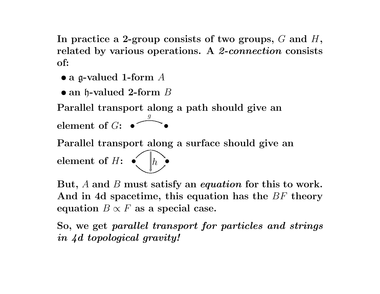In practice a 2-group consists of two groups,  $G$  and  $H,$ related by various operations. A *2-connection* consists of:

- $\bullet$  a g-valued 1-form  $A$
- $\bullet$  an  ${\mathfrak h}$ -valued 2-form  $B$

Parallel transport along <sup>a</sup> path should give an

element of  $G\colon\bullet$ g  $^{\prime}$   $\bullet$ 

Parallel transport along <sup>a</sup> surface should give an

element of  $H$ :  $\bullet$   $\parallel_h$   $\parallel$  $h$  . v

But, A and B must satisfy an *equation* for this to work. And in 4d spacetime, this equation has the  $BF$  theory equation  $B \propto F$  as a special case.

So, we get parallel transport for particles and strings in 4d topological gravity!